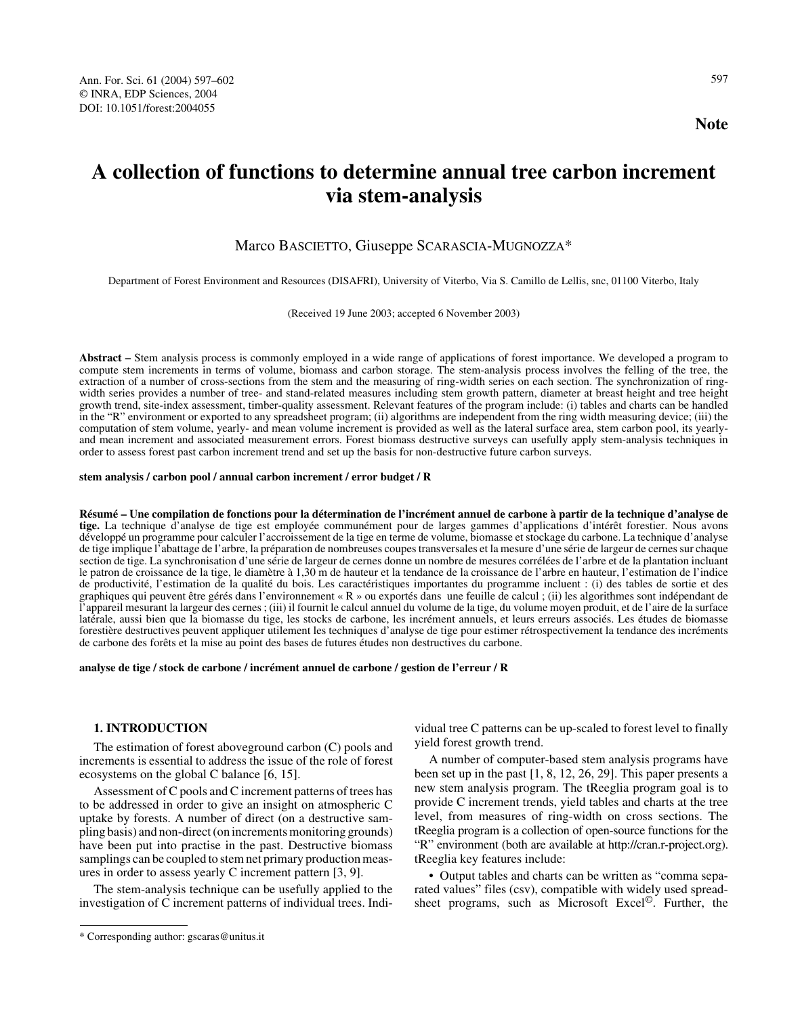# **A collection of functions to determine annual tree carbon increment via stem-analysis**

# Marco BASCIETTO, Giuseppe SCARASCIA-MUGNOZZA\*

Department of Forest Environment and Resources (DISAFRI), University of Viterbo, Via S. Camillo de Lellis, snc, 01100 Viterbo, Italy

(Received 19 June 2003; accepted 6 November 2003)

**Abstract –** Stem analysis process is commonly employed in a wide range of applications of forest importance. We developed a program to compute stem increments in terms of volume, biomass and carbon storage. The stem-analysis process involves the felling of the tree, the extraction of a number of cross-sections from the stem and the measuring of ring-width series on each section. The synchronization of ringwidth series provides a number of tree- and stand-related measures including stem growth pattern, diameter at breast height and tree height growth trend, site-index assessment, timber-quality assessment. Relevant features of the program include: (i) tables and charts can be handled in the "R" environment or exported to any spreadsheet program; (ii) algorithms are independent from the ring width measuring device; (iii) the computation of stem volume, yearly- and mean volume increment is provided as well as the lateral surface area, stem carbon pool, its yearlyand mean increment and associated measurement errors. Forest biomass destructive surveys can usefully apply stem-analysis techniques in order to assess forest past carbon increment trend and set up the basis for non-destructive future carbon surveys.

#### **stem analysis / carbon pool / annual carbon increment / error budget / R**

**Résumé – Une compilation de fonctions pour la détermination de l'incrément annuel de carbone à partir de la technique d'analyse de tige.** La technique d'analyse de tige est employée communément pour de larges gammes d'applications d'intérêt forestier. Nous avons développé un programme pour calculer l'accroissement de la tige en terme de volume, biomasse et stockage du carbone. La technique d'analyse de tige implique l'abattage de l'arbre, la préparation de nombreuses coupes transversales et la mesure d'une série de largeur de cernes sur chaque section de tige. La synchronisation d'une série de largeur de cernes donne un nombre de mesures corrélées de l'arbre et de la plantation incluant le patron de croissance de la tige, le diamètre à 1,30 m de hauteur et la tendance de la croissance de l'arbre en hauteur, l'estimation de l'indice de productivité, l'estimation de la qualité du bois. Les caractéristiques importantes du programme incluent : (i) des tables de sortie et des graphiques qui peuvent être gérés dans l'environnement « R » ou exportés dans une feuille de calcul ; (ii) les algorithmes sont indépendant de l'appareil mesurant la largeur des cernes ; (iii) il fournit le calcul annuel du volume de la tige, du volume moyen produit, et de l'aire de la surface latérale, aussi bien que la biomasse du tige, les stocks de carbone, les incrément annuels, et leurs erreurs associés. Les études de biomasse forestière destructives peuvent appliquer utilement les techniques d'analyse de tige pour estimer rétrospectivement la tendance des incréments de carbone des forêts et la mise au point des bases de futures études non destructives du carbone.

**analyse de tige / stock de carbone / incrément annuel de carbone / gestion de l'erreur / R**

## **1. INTRODUCTION**

The estimation of forest aboveground carbon (C) pools and increments is essential to address the issue of the role of forest ecosystems on the global C balance [6, 15].

Assessment of C pools and C increment patterns of trees has to be addressed in order to give an insight on atmospheric C uptake by forests. A number of direct (on a destructive sampling basis) and non-direct (on increments monitoring grounds) have been put into practise in the past. Destructive biomass samplings can be coupled to stem net primary production measures in order to assess yearly C increment pattern [3, 9].

The stem-analysis technique can be usefully applied to the investigation of C increment patterns of individual trees. Indi-

vidual tree C patterns can be up-scaled to forest level to finally yield forest growth trend.

A number of computer-based stem analysis programs have been set up in the past [1, 8, 12, 26, 29]. This paper presents a new stem analysis program. The tReeglia program goal is to provide C increment trends, yield tables and charts at the tree level, from measures of ring-width on cross sections. The tReeglia program is a collection of open-source functions for the "R" environment (both are available at http://cran.r-project.org). tReeglia key features include:

• Output tables and charts can be written as "comma separated values" files (csv), compatible with widely used spreadsheet programs, such as Microsoft Excel©. Further, the

<sup>\*</sup> Corresponding author: gscaras@unitus.it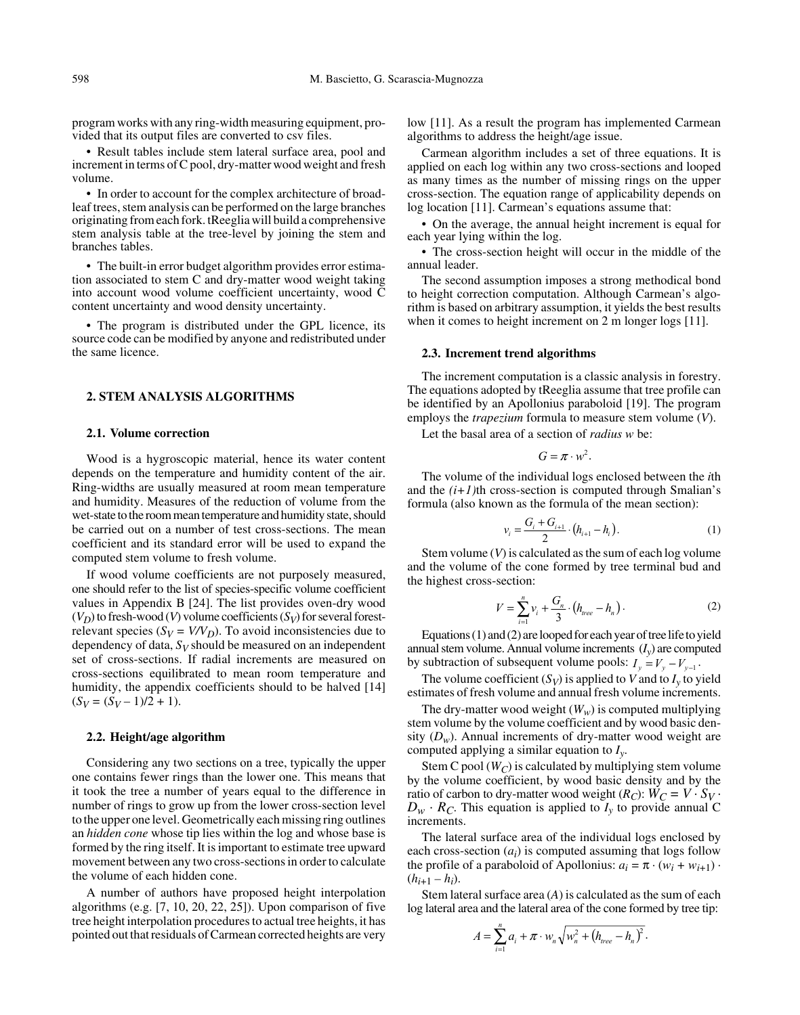program works with any ring-width measuring equipment, provided that its output files are converted to csv files.

• Result tables include stem lateral surface area, pool and increment in terms of C pool, dry-matter wood weight and fresh volume.

• In order to account for the complex architecture of broadleaf trees, stem analysis can be performed on the large branches originating from each fork. tReeglia will build a comprehensive stem analysis table at the tree-level by joining the stem and branches tables.

• The built-in error budget algorithm provides error estimation associated to stem C and dry-matter wood weight taking into account wood volume coefficient uncertainty, wood C content uncertainty and wood density uncertainty.

• The program is distributed under the GPL licence, its source code can be modified by anyone and redistributed under the same licence.

## **2. STEM ANALYSIS ALGORITHMS**

## **2.1. Volume correction**

Wood is a hygroscopic material, hence its water content depends on the temperature and humidity content of the air. Ring-widths are usually measured at room mean temperature and humidity. Measures of the reduction of volume from the wet-state to the room mean temperature and humidity state, should be carried out on a number of test cross-sections. The mean coefficient and its standard error will be used to expand the computed stem volume to fresh volume.

If wood volume coefficients are not purposely measured, one should refer to the list of species-specific volume coefficient values in Appendix B [24]. The list provides oven-dry wood  $(V_D)$  to fresh-wood  $(V)$  volume coefficients  $(S_V)$  for several forestrelevant species ( $S_V = V/V_D$ ). To avoid inconsistencies due to dependency of data, *SV* should be measured on an independent set of cross-sections. If radial increments are measured on cross-sections equilibrated to mean room temperature and humidity, the appendix coefficients should to be halved [14]  $(S_V = (S_V - 1)/2 + 1).$ 

### **2.2. Height/age algorithm**

Considering any two sections on a tree, typically the upper one contains fewer rings than the lower one. This means that it took the tree a number of years equal to the difference in number of rings to grow up from the lower cross-section level to the upper one level. Geometrically each missing ring outlines an *hidden cone* whose tip lies within the log and whose base is formed by the ring itself. It is important to estimate tree upward movement between any two cross-sections in order to calculate the volume of each hidden cone.

A number of authors have proposed height interpolation algorithms (e.g. [7, 10, 20, 22, 25]). Upon comparison of five tree height interpolation procedures to actual tree heights, it has pointed out that residuals of Carmean corrected heights are very

low [11]. As a result the program has implemented Carmean algorithms to address the height/age issue.

Carmean algorithm includes a set of three equations. It is applied on each log within any two cross-sections and looped as many times as the number of missing rings on the upper cross-section. The equation range of applicability depends on log location [11]. Carmean's equations assume that:

• On the average, the annual height increment is equal for each year lying within the log.

• The cross-section height will occur in the middle of the annual leader.

The second assumption imposes a strong methodical bond to height correction computation. Although Carmean's algorithm is based on arbitrary assumption, it yields the best results when it comes to height increment on 2 m longer logs [11].

## **2.3. Increment trend algorithms**

The increment computation is a classic analysis in forestry. The equations adopted by tReeglia assume that tree profile can be identified by an Apollonius paraboloid [19]. The program employs the *trapezium* formula to measure stem volume (*V*).

Let the basal area of a section of *radius w* be:

$$
G=\pi\cdot w^2.
$$

The volume of the individual logs enclosed between the *i*th and the  $(i+1)$ <sup>th</sup> cross-section is computed through Smalian's formula (also known as the formula of the mean section):

$$
v_i = \frac{G_i + G_{i+1}}{2} \cdot (h_{i+1} - h_i). \tag{1}
$$

Stem volume (*V*) is calculated as the sum of each log volume and the volume of the cone formed by tree terminal bud and the highest cross-section:

$$
V = \sum_{i=1}^{n} v_i + \frac{G_n}{3} \cdot (h_{tree} - h_n).
$$
 (2)

Equations (1) and (2) are looped for each year of tree life to yield annual stem volume. Annual volume increments  $(I_v)$  are computed by subtraction of subsequent volume pools:  $I_y = V_y - V_{y-1}$ .

The volume coefficient  $(S_V)$  is applied to *V* and to  $I_v$  to yield estimates of fresh volume and annual fresh volume increments.

The dry-matter wood weight  $(W_w)$  is computed multiplying stem volume by the volume coefficient and by wood basic density  $(D_w)$ . Annual increments of dry-matter wood weight are computed applying a similar equation to *Iy*.

Stem C pool  $(W_C)$  is calculated by multiplying stem volume by the volume coefficient, by wood basic density and by the ratio of carbon to dry-matter wood weight  $(R_C)$ :  $W_C = V \cdot S_V \cdot D_W \cdot R_C$ . This equation is applied to  $I_y$  to provide annual C increments.

The lateral surface area of the individual logs enclosed by each cross-section (*ai*) is computed assuming that logs follow the profile of a paraboloid of Apollonius:  $a_i = \pi \cdot (w_i + w_{i+1}) \cdot$  $(h_{i+1} - h_i)$ .

Stem lateral surface area (*A*) is calculated as the sum of each log lateral area and the lateral area of the cone formed by tree tip:

$$
A=\sum_{i=1}^n a_i+\pi\cdot w_n\sqrt{w_n^2+\left(h_{tree}-h_n\right)^2}.
$$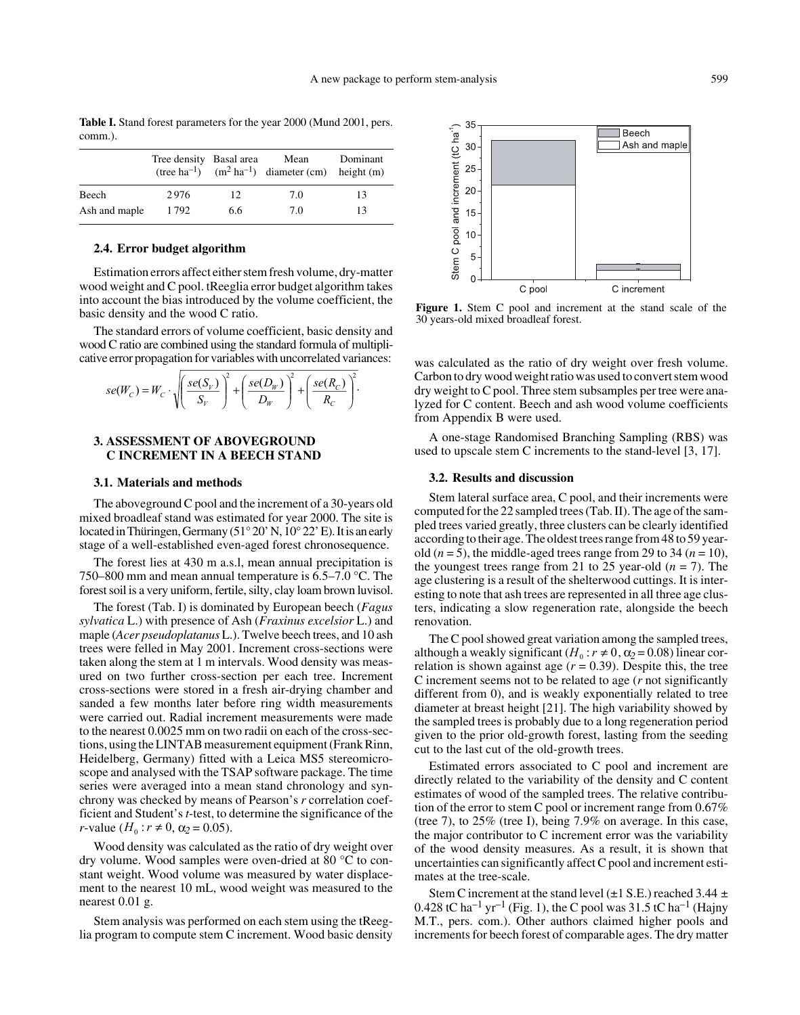|               | Tree density Basal area |     | Mean<br>(tree ha <sup>-1</sup> ) $(m^2 \text{ ha}^{-1})$ diameter (cm) height (m) | Dominant |
|---------------|-------------------------|-----|-----------------------------------------------------------------------------------|----------|
| Beech         | 2976                    | 12  | 7.0                                                                               | 13       |
| Ash and maple | 1792                    | 6.6 | 7.0                                                                               | 13       |

**Table I.** Stand forest parameters for the year 2000 (Mund 2001, pers. comm.).

## **2.4. Error budget algorithm**

Estimation errors affect either stem fresh volume, dry-matter wood weight and C pool. tReeglia error budget algorithm takes into account the bias introduced by the volume coefficient, the basic density and the wood C ratio.

The standard errors of volume coefficient, basic density and wood C ratio are combined using the standard formula of multiplicative error propagation for variables with uncorrelated variances:

$$
se(W_C) = W_C \cdot \sqrt{\left(\frac{se(S_V)}{S_V}\right)^2 + \left(\frac{se(D_W)}{D_W}\right)^2 + \left(\frac{se(R_C)}{R_C}\right)^2}.
$$

## **3. ASSESSMENT OF ABOVEGROUND C INCREMENT IN A BEECH STAND**

## **3.1. Materials and methods**

The aboveground C pool and the increment of a 30-years old mixed broadleaf stand was estimated for year 2000. The site is located in Thüringen, Germany (51 $^{\circ}$  20' N, 10 $^{\circ}$  22' E). It is an early stage of a well-established even-aged forest chronosequence.

The forest lies at 430 m a.s.l, mean annual precipitation is 750–800 mm and mean annual temperature is 6.5–7.0 °C. The forest soil is a very uniform, fertile, silty, clay loam brown luvisol.

The forest (Tab. I) is dominated by European beech (*Fagus sylvatica* L.) with presence of Ash (*Fraxinus excelsior* L.) and maple (*Acer pseudoplatanus* L.). Twelve beech trees, and 10 ash trees were felled in May 2001. Increment cross-sections were taken along the stem at 1 m intervals. Wood density was measured on two further cross-section per each tree. Increment cross-sections were stored in a fresh air-drying chamber and sanded a few months later before ring width measurements were carried out. Radial increment measurements were made to the nearest 0.0025 mm on two radii on each of the cross-sections, using the LINTAB measurement equipment (Frank Rinn, Heidelberg, Germany) fitted with a Leica MS5 stereomicroscope and analysed with the TSAP software package. The time series were averaged into a mean stand chronology and synchrony was checked by means of Pearson's *r* correlation coefficient and Student's *t*-test, to determine the significance of the  $r$ -value ( $H_0: r \neq 0$ ,  $\alpha_2 = 0.05$ ).

Wood density was calculated as the ratio of dry weight over dry volume. Wood samples were oven-dried at 80 °C to constant weight. Wood volume was measured by water displacement to the nearest 10 mL, wood weight was measured to the nearest 0.01 g.

Stem analysis was performed on each stem using the tReeglia program to compute stem C increment. Wood basic density



**Figure 1.** Stem C pool and increment at the stand scale of the 30 years-old mixed broadleaf forest.

was calculated as the ratio of dry weight over fresh volume. Carbon to dry wood weight ratio was used to convert stem wood dry weight to C pool. Three stem subsamples per tree were analyzed for C content. Beech and ash wood volume coefficients from Appendix B were used.

A one-stage Randomised Branching Sampling (RBS) was used to upscale stem C increments to the stand-level [3, 17].

## **3.2. Results and discussion**

Stem lateral surface area, C pool, and their increments were computed for the 22 sampled trees (Tab. II). The age of the sampled trees varied greatly, three clusters can be clearly identified according to their age. The oldest trees range from 48 to 59 yearold  $(n = 5)$ , the middle-aged trees range from 29 to 34  $(n = 10)$ , the youngest trees range from 21 to 25 year-old  $(n = 7)$ . The age clustering is a result of the shelterwood cuttings. It is interesting to note that ash trees are represented in all three age clusters, indicating a slow regeneration rate, alongside the beech renovation.

The C pool showed great variation among the sampled trees, although a weakly significant  $(H_0: r \neq 0, \alpha_2 = 0.08)$  linear correlation is shown against age  $(r = 0.39)$ . Despite this, the tree C increment seems not to be related to age (*r* not significantly different from 0), and is weakly exponentially related to tree diameter at breast height [21]. The high variability showed by the sampled trees is probably due to a long regeneration period given to the prior old-growth forest, lasting from the seeding cut to the last cut of the old-growth trees.

Estimated errors associated to C pool and increment are directly related to the variability of the density and C content estimates of wood of the sampled trees. The relative contribution of the error to stem C pool or increment range from 0.67% (tree 7), to 25% (tree I), being 7.9% on average. In this case, the major contributor to C increment error was the variability of the wood density measures. As a result, it is shown that uncertainties can significantly affect C pool and increment estimates at the tree-scale.

Stem C increment at the stand level  $(\pm 1 \text{ S.E.})$  reached 3.44  $\pm$ 0.428 tC ha<sup>-1</sup> yr<sup>-1</sup> (Fig. 1), the C pool was 31.5 tC ha<sup>-1</sup> (Hajny M.T., pers. com.). Other authors claimed higher pools and increments for beech forest of comparable ages. The dry matter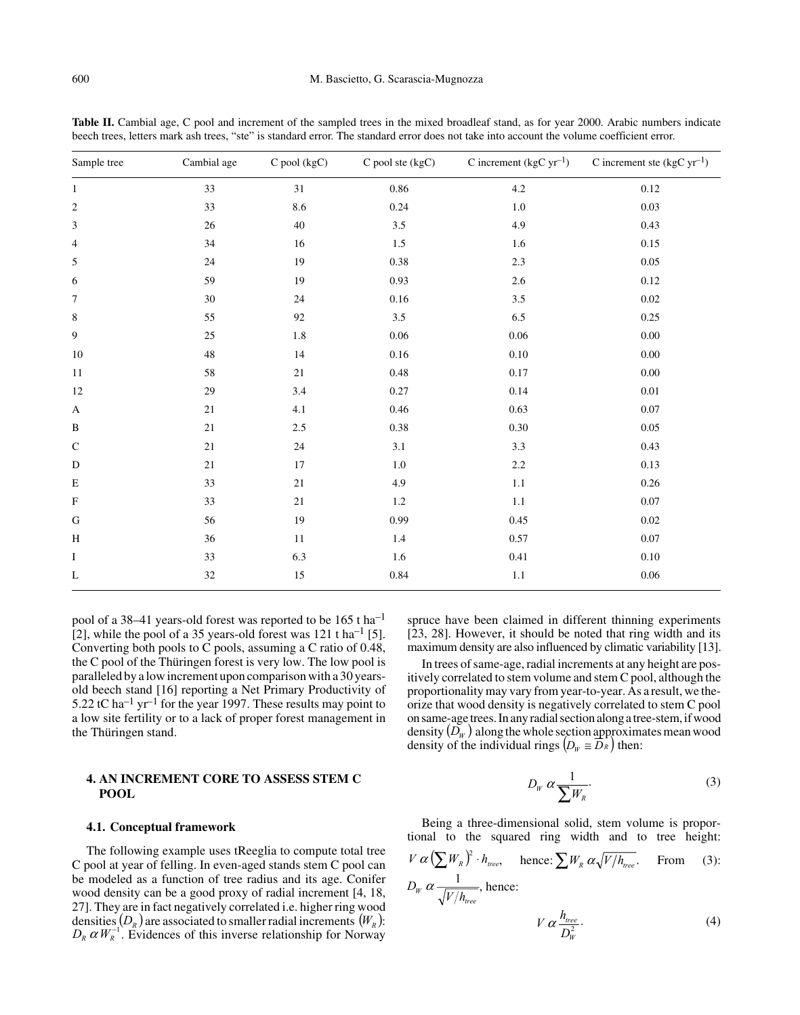| Sample tree      | Cambial age | C pool (kgC) | C pool ste (kgC) | C increment (kgC $yr^{-1}$ ) | C increment ste (kgC $yr^{-1}$ ) |
|------------------|-------------|--------------|------------------|------------------------------|----------------------------------|
| $\mathbf{1}$     | 33          | 31           | 0.86             | $4.2\,$                      | $0.12\,$                         |
| $\boldsymbol{2}$ | 33          | 8.6          | 0.24             | $1.0\,$                      | $0.03\,$                         |
| $\mathfrak{Z}$   | 26          | 40           | $3.5\,$          | 4.9                          | 0.43                             |
| $\overline{4}$   | 34          | 16           | $1.5\,$          | 1.6                          | $0.15\,$                         |
| 5                | $24\,$      | 19           | 0.38             | $2.3\,$                      | $0.05\,$                         |
| $\sqrt{6}$       | 59          | 19           | 0.93             | $2.6\,$                      | $0.12\,$                         |
| $\tau$           | 30          | 24           | $0.16\,$         | 3.5                          | $0.02\,$                         |
| 8                | 55          | 92           | $3.5\,$          | 6.5                          | 0.25                             |
| $\boldsymbol{9}$ | $25\,$      | $1.8\,$      | 0.06             | 0.06                         | $0.00\,$                         |
| $10\,$           | $\sqrt{48}$ | 14           | $0.16\,$         | 0.10                         | $0.00\,$                         |
| 11               | 58          | $21\,$       | $0.48\,$         | 0.17                         | $0.00\,$                         |
| $12\,$           | 29          | $3.4\,$      | 0.27             | 0.14                         | $0.01\,$                         |
| $\mathbf{A}$     | $21\,$      | 4.1          | 0.46             | 0.63                         | $0.07\,$                         |
| B                | $21\,$      | $2.5\,$      | $0.38\,$         | 0.30                         | 0.05                             |
| ${\bf C}$        | $21\,$      | $24\,$       | 3.1              | 3.3                          | 0.43                             |
| ${\bf D}$        | $21\,$      | $17\,$       | $1.0\,$          | $2.2\,$                      | 0.13                             |
| E                | 33          | $21\,$       | 4.9              | $1.1\,$                      | $0.26\,$                         |
| ${\bf F}$        | 33          | $21\,$       | $1.2\,$          | $1.1\,$                      | $0.07\,$                         |
| ${\bf G}$        | 56          | 19           | 0.99             | 0.45                         | $0.02\,$                         |
| H                | 36          | $11\,$       | 1.4              | 0.57                         | $0.07\,$                         |
| $\bf{I}$         | 33          | 6.3          | 1.6              | 0.41                         | $0.10\,$                         |
| L                | 32          | 15           | 0.84             | $1.1\,$                      | $0.06\,$                         |

Table II. Cambial age, C pool and increment of the sampled trees in the mixed broadleaf stand, as for year 2000. Arabic numbers indicate beech trees, letters mark ash trees, "ste" is standard error. The standard error does not take into account the volume coefficient error.

pool of a 38–41 years-old forest was reported to be 165 t ha–1 [2], while the pool of a 35 years-old forest was  $121$  t ha<sup>-1</sup> [5]. Converting both pools to C pools, assuming a C ratio of 0.48, the C pool of the Thüringen forest is very low. The low pool is paralleled by a low increment upon comparison with a 30 yearsold beech stand [16] reporting a Net Primary Productivity of 5.22 tC ha<sup>-1</sup> yr<sup>-1</sup> for the year 1997. These results may point to a low site fertility or to a lack of proper forest management in the Thüringen stand.

# **4. AN INCREMENT CORE TO ASSESS STEM C POOL**

## **4.1. Conceptual framework**

The following example uses tReeglia to compute total tree C pool at year of felling. In even-aged stands stem C pool can be modeled as a function of tree radius and its age. Conifer wood density can be a good proxy of radial increment [4, 18, 27]. They are in fact negatively correlated i.e. higher ring wood densities  $(D_R)$  are associated to smaller radial increments  $(W_R)$ : densities  $(D_R)$  are associated to smaller radial increments  $(W_R)$ :<br> $D_R \alpha W_R^{-1}$ . Evidences of this inverse relationship for Norway

spruce have been claimed in different thinning experiments [23, 28]. However, it should be noted that ring width and its maximum density are also influenced by climatic variability [13].

In trees of same-age, radial increments at any height are positively correlated to stem volume and stem C pool, although the proportionality may vary from year-to-year. As a result, we theorize that wood density is negatively correlated to stem C pool on same-age trees. In any radial section along a tree-stem, if wood density  $(\bar{D_{_W}})$  along the whole section approximates mean wood density of the individual rings  $(D_w \cong D_R)$  then:

$$
D_W \alpha \frac{1}{\sum W_R}.\tag{3}
$$

Being a three-dimensional solid, stem volume is proportional to the squared ring width and to tree height:

$$
V \alpha \left(\sum W_R\right)^2 \cdot h_{tree}, \quad \text{hence: } \sum W_R \alpha \sqrt{V/h_{tree}}. \quad \text{From} \quad (3):
$$
  

$$
D_W \alpha \frac{1}{\sqrt{V/h_{tree}}}, \text{ hence:}
$$

$$
W_{tree}
$$
\n
$$
V \alpha \frac{h_{tree}}{D_W^2}.
$$
\n(4)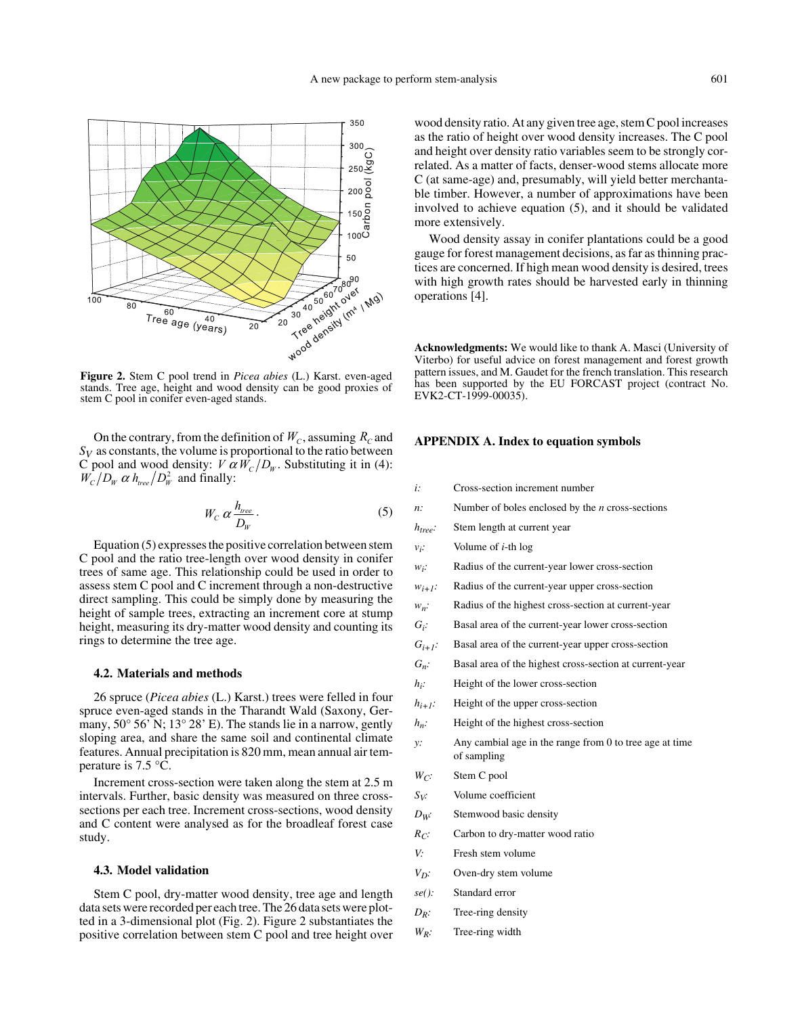

**Figure 2.** Stem C pool trend in *Picea abies* (L.) Karst. even-aged stands. Tree age, height and wood density can be good proxies of stem C pool in conifer even-aged stands.

On the contrary, from the definition of  $W_c$ , assuming  $R_c$  and  $S_V$  as constants, the volume is proportional to the ratio between C pool and wood density:  $V \alpha W_c/D_w$ . Substituting it in (4):<br> $W_c/D_w \alpha h_{tree}/D_w^2$  and finally:  $W_c/D_w \alpha h_{tree}/D_w^2$  and finally:

$$
W_C \, \alpha \, \frac{h_{tree}}{D_W} \,. \tag{5}
$$

Equation (5) expresses the positive correlation between stem C pool and the ratio tree-length over wood density in conifer trees of same age. This relationship could be used in order to assess stem C pool and C increment through a non-destructive direct sampling. This could be simply done by measuring the height of sample trees, extracting an increment core at stump height, measuring its dry-matter wood density and counting its rings to determine the tree age.

## **4.2. Materials and methods**

26 spruce (*Picea abies* (L.) Karst.) trees were felled in four spruce even-aged stands in the Tharandt Wald (Saxony, Germany, 50° 56' N; 13° 28' E). The stands lie in a narrow, gently sloping area, and share the same soil and continental climate features. Annual precipitation is 820 mm, mean annual air temperature is 7.5 °C.

Increment cross-section were taken along the stem at 2.5 m intervals. Further, basic density was measured on three crosssections per each tree. Increment cross-sections, wood density and C content were analysed as for the broadleaf forest case study.

## **4.3. Model validation**

Stem C pool, dry-matter wood density, tree age and length data sets were recorded per each tree. The 26 data sets were plotted in a 3-dimensional plot (Fig. 2). Figure 2 substantiates the positive correlation between stem C pool and tree height over

wood density ratio. At any given tree age, stem C pool increases as the ratio of height over wood density increases. The C pool and height over density ratio variables seem to be strongly correlated. As a matter of facts, denser-wood stems allocate more C (at same-age) and, presumably, will yield better merchantable timber. However, a number of approximations have been involved to achieve equation (5), and it should be validated more extensively.

Wood density assay in conifer plantations could be a good gauge for forest management decisions, as far as thinning practices are concerned. If high mean wood density is desired, trees with high growth rates should be harvested early in thinning operations [4].

**Acknowledgments:** We would like to thank A. Masci (University of Viterbo) for useful advice on forest management and forest growth pattern issues, and M. Gaudet for the french translation. This research has been supported by the EU FORCAST project (contract No. EVK2-CT-1999-00035).

#### APPENDIX A. Index to equation symbols

- *i:* Cross-section increment number
- *n:* Number of boles enclosed by the *n* cross-sections
- *htree:* Stem length at current year
- *vi:* Volume of *i*-th log
- *wi:* Radius of the current-year lower cross-section
- $w_{i+1}$ : Radius of the current-year upper cross-section
- *wn:* Radius of the highest cross-section at current-year
- *Gi:* Basal area of the current-year lower cross-section
- $G_{i+1}$ : Basal area of the current-year upper cross-section
- *Gn:* Basal area of the highest cross-section at current-year
- *hi:* Height of the lower cross-section
- *hi+1:* Height of the upper cross-section
- *hn:* Height of the highest cross-section
- *y:* Any cambial age in the range from 0 to tree age at time of sampling
- *W<sub>C</sub>*: Stem C pool
- *S<sub>V</sub>:* Volume coefficient
- *D<sub>W</sub>:* Stemwood basic density
- *R<sub>C</sub>*: Carbon to dry-matter wood ratio
- *V:* Fresh stem volume
- *V<sub>D</sub>:* Oven-dry stem volume
- *se():* Standard error
- *D<sub>R</sub>*: Tree-ring density
- *WR:* Tree-ring width